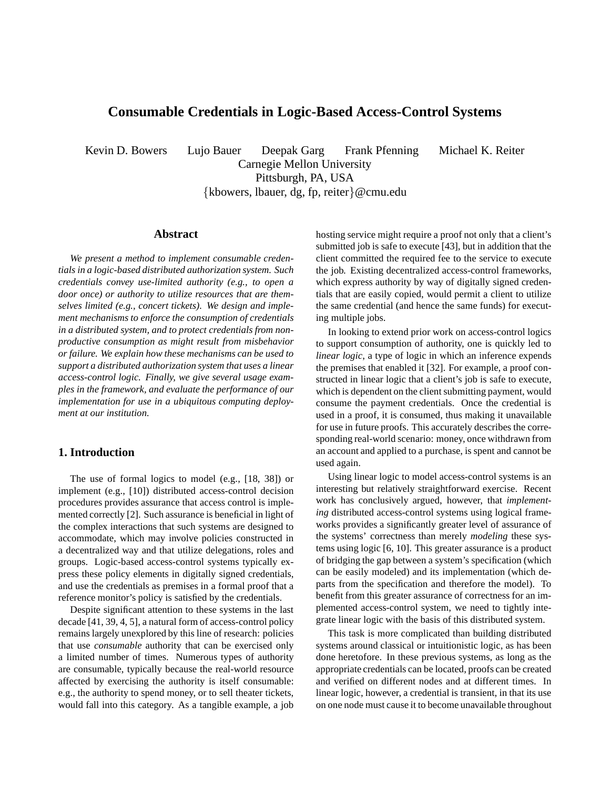# **Consumable Credentials in Logic-Based Access-Control Systems**

Kevin D. Bowers Lujo Bauer Deepak Garg Frank Pfenning Michael K. Reiter

Carnegie Mellon University Pittsburgh, PA, USA

{kbowers, lbauer, dg, fp, reiter}@cmu.edu

#### **Abstract**

*We present a method to implement consumable credentials in a logic-based distributed authorization system. Such credentials convey use-limited authority (e.g., to open a door once) or authority to utilize resources that are themselves limited (e.g., concert tickets). We design and implement mechanisms to enforce the consumption of credentials in a distributed system, and to protect credentials from nonproductive consumption as might result from misbehavior or failure. We explain how these mechanisms can be used to support a distributed authorization system that uses a linear access-control logic. Finally, we give several usage examples in the framework, and evaluate the performance of our implementation for use in a ubiquitous computing deployment at our institution.*

### **1. Introduction**

The use of formal logics to model (e.g., [18, 38]) or implement (e.g., [10]) distributed access-control decision procedures provides assurance that access control is implemented correctly [2]. Such assurance is beneficial in light of the complex interactions that such systems are designed to accommodate, which may involve policies constructed in a decentralized way and that utilize delegations, roles and groups. Logic-based access-control systems typically express these policy elements in digitally signed credentials, and use the credentials as premises in a formal proof that a reference monitor's policy is satisfied by the credentials.

Despite significant attention to these systems in the last decade [41, 39, 4, 5], a natural form of access-control policy remains largely unexplored by this line of research: policies that use *consumable* authority that can be exercised only a limited number of times. Numerous types of authority are consumable, typically because the real-world resource affected by exercising the authority is itself consumable: e.g., the authority to spend money, or to sell theater tickets, would fall into this category. As a tangible example, a job hosting service might require a proof not only that a client's submitted job is safe to execute [43], but in addition that the client committed the required fee to the service to execute the job. Existing decentralized access-control frameworks, which express authority by way of digitally signed credentials that are easily copied, would permit a client to utilize the same credential (and hence the same funds) for executing multiple jobs.

In looking to extend prior work on access-control logics to support consumption of authority, one is quickly led to *linear logic*, a type of logic in which an inference expends the premises that enabled it [32]. For example, a proof constructed in linear logic that a client's job is safe to execute, which is dependent on the client submitting payment, would consume the payment credentials. Once the credential is used in a proof, it is consumed, thus making it unavailable for use in future proofs. This accurately describes the corresponding real-world scenario: money, once withdrawn from an account and applied to a purchase, is spent and cannot be used again.

Using linear logic to model access-control systems is an interesting but relatively straightforward exercise. Recent work has conclusively argued, however, that *implementing* distributed access-control systems using logical frameworks provides a significantly greater level of assurance of the systems' correctness than merely *modeling* these systems using logic [6, 10]. This greater assurance is a product of bridging the gap between a system's specification (which can be easily modeled) and its implementation (which departs from the specification and therefore the model). To benefit from this greater assurance of correctness for an implemented access-control system, we need to tightly integrate linear logic with the basis of this distributed system.

This task is more complicated than building distributed systems around classical or intuitionistic logic, as has been done heretofore. In these previous systems, as long as the appropriate credentials can be located, proofs can be created and verified on different nodes and at different times. In linear logic, however, a credential is transient, in that its use on one node must cause it to become unavailable throughout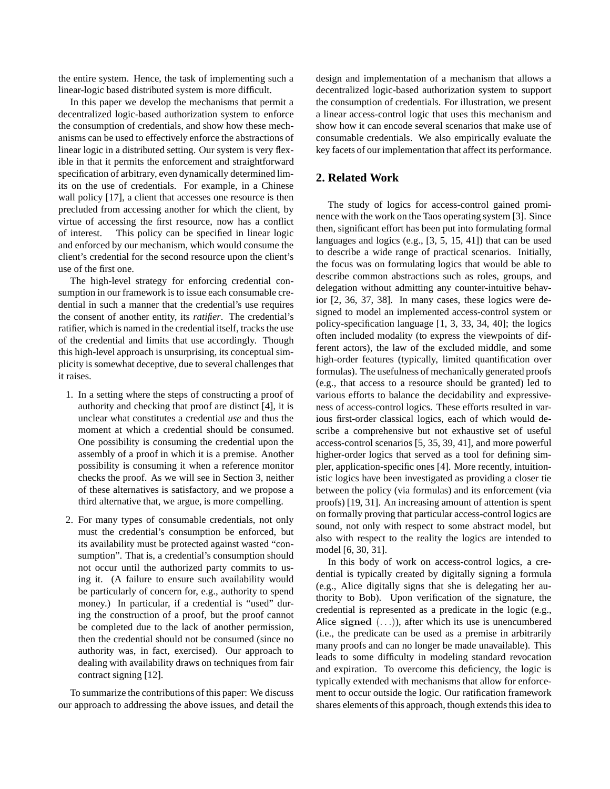the entire system. Hence, the task of implementing such a linear-logic based distributed system is more difficult.

In this paper we develop the mechanisms that permit a decentralized logic-based authorization system to enforce the consumption of credentials, and show how these mechanisms can be used to effectively enforce the abstractions of linear logic in a distributed setting. Our system is very flexible in that it permits the enforcement and straightforward specification of arbitrary, even dynamically determined limits on the use of credentials. For example, in a Chinese wall policy [17], a client that accesses one resource is then precluded from accessing another for which the client, by virtue of accessing the first resource, now has a conflict of interest. This policy can be specified in linear logic and enforced by our mechanism, which would consume the client's credential for the second resource upon the client's use of the first one.

The high-level strategy for enforcing credential consumption in our framework is to issue each consumable credential in such a manner that the credential's use requires the consent of another entity, its *ratifier*. The credential's ratifier, which is named in the credential itself, tracks the use of the credential and limits that use accordingly. Though this high-level approach is unsurprising, its conceptual simplicity is somewhat deceptive, due to several challenges that it raises.

- 1. In a setting where the steps of constructing a proof of authority and checking that proof are distinct [4], it is unclear what constitutes a credential *use* and thus the moment at which a credential should be consumed. One possibility is consuming the credential upon the assembly of a proof in which it is a premise. Another possibility is consuming it when a reference monitor checks the proof. As we will see in Section 3, neither of these alternatives is satisfactory, and we propose a third alternative that, we argue, is more compelling.
- 2. For many types of consumable credentials, not only must the credential's consumption be enforced, but its availability must be protected against wasted "consumption". That is, a credential's consumption should not occur until the authorized party commits to using it. (A failure to ensure such availability would be particularly of concern for, e.g., authority to spend money.) In particular, if a credential is "used" during the construction of a proof, but the proof cannot be completed due to the lack of another permission, then the credential should not be consumed (since no authority was, in fact, exercised). Our approach to dealing with availability draws on techniques from fair contract signing [12].

To summarize the contributions of this paper: We discuss our approach to addressing the above issues, and detail the design and implementation of a mechanism that allows a decentralized logic-based authorization system to support the consumption of credentials. For illustration, we present a linear access-control logic that uses this mechanism and show how it can encode several scenarios that make use of consumable credentials. We also empirically evaluate the key facets of our implementation that affect its performance.

# **2. Related Work**

The study of logics for access-control gained prominence with the work on the Taos operating system [3]. Since then, significant effort has been put into formulating formal languages and logics (e.g., [3, 5, 15, 41]) that can be used to describe a wide range of practical scenarios. Initially, the focus was on formulating logics that would be able to describe common abstractions such as roles, groups, and delegation without admitting any counter-intuitive behavior [2, 36, 37, 38]. In many cases, these logics were designed to model an implemented access-control system or policy-specification language [1, 3, 33, 34, 40]; the logics often included modality (to express the viewpoints of different actors), the law of the excluded middle, and some high-order features (typically, limited quantification over formulas). The usefulness of mechanically generated proofs (e.g., that access to a resource should be granted) led to various efforts to balance the decidability and expressiveness of access-control logics. These efforts resulted in various first-order classical logics, each of which would describe a comprehensive but not exhaustive set of useful access-control scenarios [5, 35, 39, 41], and more powerful higher-order logics that served as a tool for defining simpler, application-specific ones [4]. More recently, intuitionistic logics have been investigated as providing a closer tie between the policy (via formulas) and its enforcement (via proofs) [19, 31]. An increasing amount of attention is spent on formally proving that particular access-control logics are sound, not only with respect to some abstract model, but also with respect to the reality the logics are intended to model [6, 30, 31].

In this body of work on access-control logics, a credential is typically created by digitally signing a formula (e.g., Alice digitally signs that she is delegating her authority to Bob). Upon verification of the signature, the credential is represented as a predicate in the logic (e.g., Alice signed  $(\ldots)$ , after which its use is unencumbered (i.e., the predicate can be used as a premise in arbitrarily many proofs and can no longer be made unavailable). This leads to some difficulty in modeling standard revocation and expiration. To overcome this deficiency, the logic is typically extended with mechanisms that allow for enforcement to occur outside the logic. Our ratification framework shares elements of this approach, though extends this idea to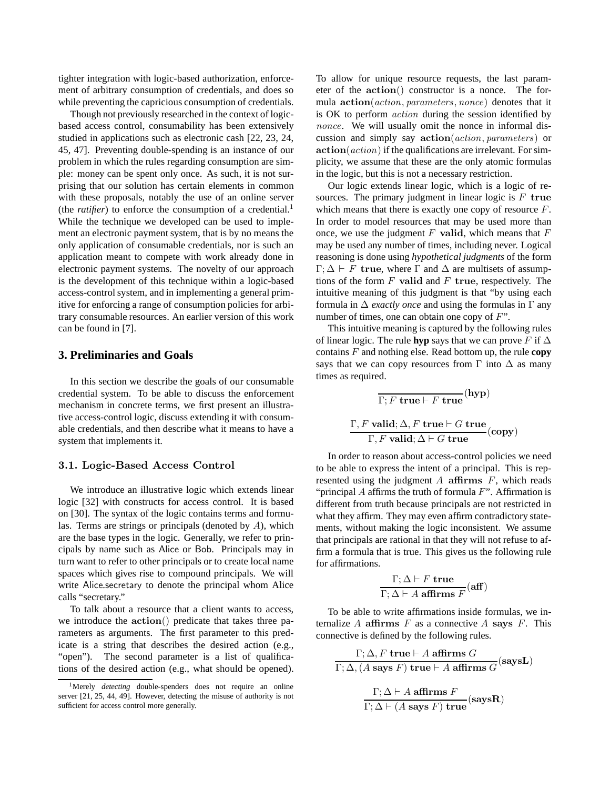tighter integration with logic-based authorization, enforcement of arbitrary consumption of credentials, and does so while preventing the capricious consumption of credentials.

Though not previously researched in the context of logicbased access control, consumability has been extensively studied in applications such as electronic cash [22, 23, 24, 45, 47]. Preventing double-spending is an instance of our problem in which the rules regarding consumption are simple: money can be spent only once. As such, it is not surprising that our solution has certain elements in common with these proposals, notably the use of an online server (the *ratifier*) to enforce the consumption of a credential.<sup>1</sup> While the technique we developed can be used to implement an electronic payment system, that is by no means the only application of consumable credentials, nor is such an application meant to compete with work already done in electronic payment systems. The novelty of our approach is the development of this technique within a logic-based access-control system, and in implementing a general primitive for enforcing a range of consumption policies for arbitrary consumable resources. An earlier version of this work can be found in [7].

# **3. Preliminaries and Goals**

In this section we describe the goals of our consumable credential system. To be able to discuss the enforcement mechanism in concrete terms, we first present an illustrative access-control logic, discuss extending it with consumable credentials, and then describe what it means to have a system that implements it.

#### 3.1. Logic-Based Access Control

We introduce an illustrative logic which extends linear logic [32] with constructs for access control. It is based on [30]. The syntax of the logic contains terms and formulas. Terms are strings or principals (denoted by A), which are the base types in the logic. Generally, we refer to principals by name such as Alice or Bob. Principals may in turn want to refer to other principals or to create local name spaces which gives rise to compound principals. We will write Alice.secretary to denote the principal whom Alice calls "secretary."

To talk about a resource that a client wants to access, we introduce the action() predicate that takes three parameters as arguments. The first parameter to this predicate is a string that describes the desired action (e.g., "open"). The second parameter is a list of qualifications of the desired action (e.g., what should be opened).

To allow for unique resource requests, the last parameter of the action() constructor is a nonce. The formula action(action, parameters, nonce) denotes that it is OK to perform action during the session identified by nonce. We will usually omit the nonce in informal discussion and simply say action(action, parameters) or  $action(action)$  if the qualifications are irrelevant. For simplicity, we assume that these are the only atomic formulas in the logic, but this is not a necessary restriction.

Our logic extends linear logic, which is a logic of resources. The primary judgment in linear logic is  $F$  true which means that there is exactly one copy of resource  $F$ . In order to model resources that may be used more than once, we use the judgment  $F$  valid, which means that  $F$ may be used any number of times, including never. Logical reasoning is done using *hypothetical judgments* of the form  $\Gamma$ ;  $\Delta \vdash F$  true, where  $\Gamma$  and  $\Delta$  are multisets of assumptions of the form  $F$  valid and  $F$  true, respectively. The intuitive meaning of this judgment is that "by using each formula in ∆ *exactly once* and using the formulas in Γ any number of times, one can obtain one copy of  $F$ ".

This intuitive meaning is captured by the following rules of linear logic. The rule **hyp** says that we can prove F if  $\Delta$ contains F and nothing else. Read bottom up, the rule **copy** says that we can copy resources from  $\Gamma$  into  $\Delta$  as many times as required.

$$
\frac{}{\Gamma; F \text{ true} \vdash F \text{ true}}(\text{hyp})
$$
  

$$
\frac{}{\Gamma, F \text{ valid}; \Delta, F \text{ true} \vdash G \text{ true}}(\text{copy})
$$

In order to reason about access-control policies we need to be able to express the intent of a principal. This is represented using the judgment  $A$  affirms  $F$ , which reads "principal  $A$  affirms the truth of formula  $F$ ". Affirmation is different from truth because principals are not restricted in what they affirm. They may even affirm contradictory statements, without making the logic inconsistent. We assume that principals are rational in that they will not refuse to affirm a formula that is true. This gives us the following rule for affirmations.

$$
\frac{\Gamma; \Delta \vdash F \text{ true}}{\Gamma; \Delta \vdash A \text{ affirms } F} (\text{aff})
$$

To be able to write affirmations inside formulas, we internalize  $A$  affirms  $F$  as a connective  $A$  says  $F$ . This connective is defined by the following rules.

$$
\Gamma; \Delta, F \text{ true} \vdash A \text{ affirms } G
$$
  

$$
\Gamma; \Delta, (A \text{ says } F) \text{ true} \vdash A \text{ affirms } G \text{ (saysL)}
$$
  

$$
\Gamma; \Delta \vdash A \text{ affirms } F
$$
  

$$
\Gamma; \Delta \vdash (A \text{ says } F) \text{ true} \text{ (saysR)}
$$

<sup>&</sup>lt;sup>1</sup>Merely *detecting* double-spenders does not require an online server [21, 25, 44, 49]. However, detecting the misuse of authority is not sufficient for access control more generally.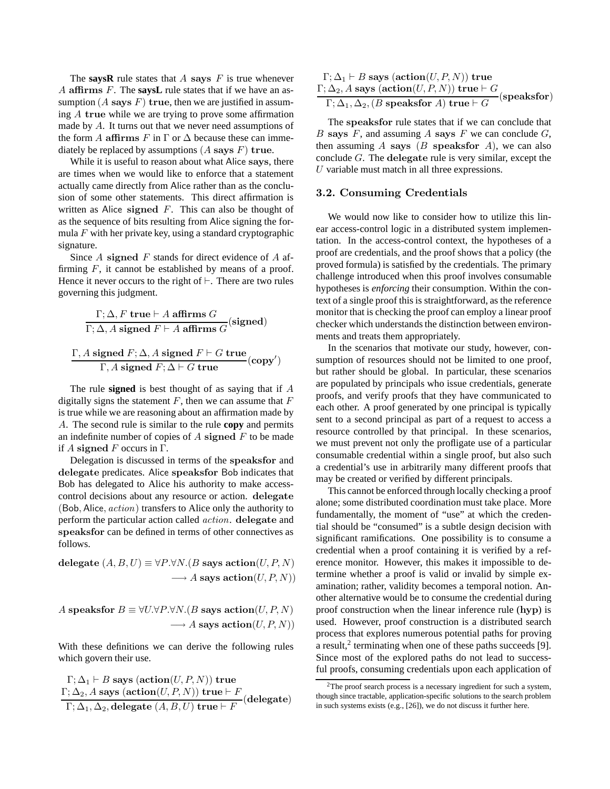The **saysR** rule states that A says F is true whenever A affirms F. The **saysL** rule states that if we have an assumption  $(A$  says  $F)$  true, then we are justified in assuming A true while we are trying to prove some affirmation made by A. It turns out that we never need assumptions of the form A affirms F in  $\Gamma$  or  $\Delta$  because these can immediately be replaced by assumptions  $(A$  says  $F)$  true.

While it is useful to reason about what Alice says, there are times when we would like to enforce that a statement actually came directly from Alice rather than as the conclusion of some other statements. This direct affirmation is written as Alice signed  $F$ . This can also be thought of as the sequence of bits resulting from Alice signing the formula  $F$  with her private key, using a standard cryptographic signature.

Since  $A$  signed  $F$  stands for direct evidence of  $A$  affirming  $F$ , it cannot be established by means of a proof. Hence it never occurs to the right of  $\vdash$ . There are two rules governing this judgment.

$$
\Gamma; \Delta, F \text{ true} \vdash A \text{ affirms } G \text{ (signed)}
$$
\n
$$
\Gamma; \Delta, A \text{ signed } F \vdash A \text{ affirms } G \text{ (signed)}
$$
\n
$$
\Gamma, A \text{ signed } F; \Delta, A \text{ signed } F \vdash G \text{ true} \text{ (copy')}
$$
\n
$$
\Gamma, A \text{ signed } F; \Delta \vdash G \text{ true}
$$

The rule **signed** is best thought of as saying that if A digitally signs the statement  $F$ , then we can assume that  $F$ is true while we are reasoning about an affirmation made by A. The second rule is similar to the rule **copy** and permits an indefinite number of copies of  $A$  signed  $F$  to be made if A signed F occurs in  $\Gamma$ .

Delegation is discussed in terms of the speaksfor and delegate predicates. Alice speaksfor Bob indicates that Bob has delegated to Alice his authority to make accesscontrol decisions about any resource or action. delegate (Bob, Alice,  $action$ ) transfers to Alice only the authority to perform the particular action called action. delegate and speaksfor can be defined in terms of other connectives as follows.

delegate  $(A, B, U) \equiv \forall P.\forall N.(B \text{ says action}(U, P, N))$  $\longrightarrow A$  says action(U, P, N))

A speaksfor  $B \equiv \forall U.\forall P.\forall N.(B \text{ says action}(U, P, N))$  $\longrightarrow A$  says action(U, P, N))

With these definitions we can derive the following rules which govern their use.

$$
\begin{array}{l} \Gamma; \Delta_1 \vdash B \text{ says } (\textbf{action}(U, P, N)) \text{ true} \\ \Gamma; \Delta_2, A \text{ says } (\textbf{action}(U, P, N)) \text{ true} \vdash F \\ \Gamma; \Delta_1, \Delta_2, \textbf{delegate } (A, B, U) \text{ true} \vdash F \end{array}(\textbf{delegate})
$$

 $\Gamma$ ;  $\Delta_1 \vdash B$  says (action(U, P, N)) true  $\Gamma ; \Delta_2 , A$  says  $(\mathbf{action}(U, P, N))$  true  $\vdash G$  $\frac{Z(1, \Delta_1, \Delta_2)}{\Gamma; \Delta_1, \Delta_2, (B \text{ speakersfor } A) \text{ true} \vdash G}$  (speaksfor)

The speaksfor rule states that if we can conclude that B says F, and assuming A says F we can conclude  $G$ , then assuming  $A$  says  $(B$  speaksfor  $A$ ), we can also conclude  $G$ . The delegate rule is very similar, except the U variable must match in all three expressions.

#### 3.2. Consuming Credentials

We would now like to consider how to utilize this linear access-control logic in a distributed system implementation. In the access-control context, the hypotheses of a proof are credentials, and the proof shows that a policy (the proved formula) is satisfied by the credentials. The primary challenge introduced when this proof involves consumable hypotheses is *enforcing* their consumption. Within the context of a single proof this is straightforward, as the reference monitor that is checking the proof can employ a linear proof checker which understands the distinction between environments and treats them appropriately.

In the scenarios that motivate our study, however, consumption of resources should not be limited to one proof, but rather should be global. In particular, these scenarios are populated by principals who issue credentials, generate proofs, and verify proofs that they have communicated to each other. A proof generated by one principal is typically sent to a second principal as part of a request to access a resource controlled by that principal. In these scenarios, we must prevent not only the profligate use of a particular consumable credential within a single proof, but also such a credential's use in arbitrarily many different proofs that may be created or verified by different principals.

This cannot be enforced through locally checking a proof alone; some distributed coordination must take place. More fundamentally, the moment of "use" at which the credential should be "consumed" is a subtle design decision with significant ramifications. One possibility is to consume a credential when a proof containing it is verified by a reference monitor. However, this makes it impossible to determine whether a proof is valid or invalid by simple examination; rather, validity becomes a temporal notion. Another alternative would be to consume the credential during proof construction when the linear inference rule (hyp) is used. However, proof construction is a distributed search process that explores numerous potential paths for proving a result,<sup>2</sup> terminating when one of these paths succeeds [9]. Since most of the explored paths do not lead to successful proofs, consuming credentials upon each application of

<sup>&</sup>lt;sup>2</sup>The proof search process is a necessary ingredient for such a system, though since tractable, application-specific solutions to the search problem in such systems exists (e.g., [26]), we do not discuss it further here.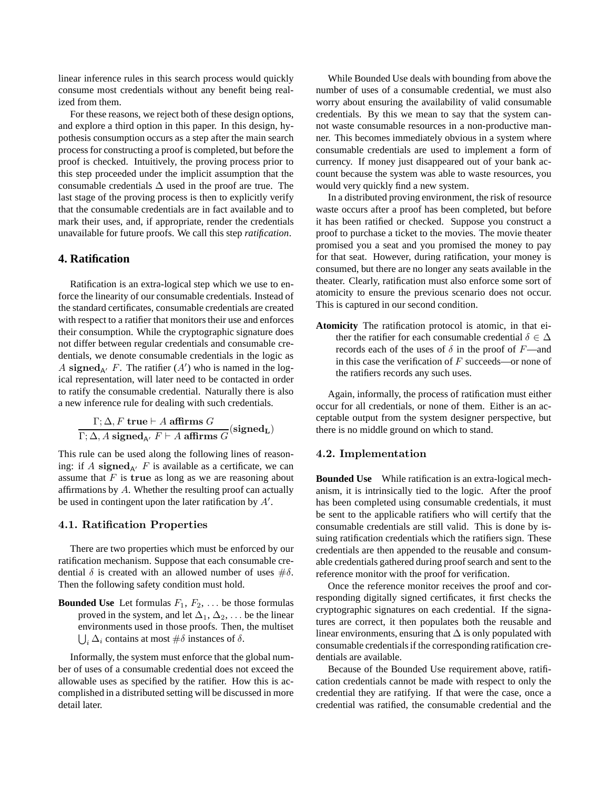linear inference rules in this search process would quickly consume most credentials without any benefit being realized from them.

For these reasons, we reject both of these design options, and explore a third option in this paper. In this design, hypothesis consumption occurs as a step after the main search process for constructing a proof is completed, but before the proof is checked. Intuitively, the proving process prior to this step proceeded under the implicit assumption that the consumable credentials  $\Delta$  used in the proof are true. The last stage of the proving process is then to explicitly verify that the consumable credentials are in fact available and to mark their uses, and, if appropriate, render the credentials unavailable for future proofs. We call this step *ratification*.

# **4. Ratification**

Ratification is an extra-logical step which we use to enforce the linearity of our consumable credentials. Instead of the standard certificates, consumable credentials are created with respect to a ratifier that monitors their use and enforces their consumption. While the cryptographic signature does not differ between regular credentials and consumable credentials, we denote consumable credentials in the logic as A signed<sub>A'</sub> F. The ratifier  $(A')$  who is named in the logical representation, will later need to be contacted in order to ratify the consumable credential. Naturally there is also a new inference rule for dealing with such credentials.

$$
\frac{\Gamma; \Delta, F \text{ true} \vdash A \text{ affirms } G}{\Gamma; \Delta, A \text{ signed}_{A'} F \vdash A \text{ affirms } G} (\text{signed}_{L})
$$

This rule can be used along the following lines of reasoning: if A signed<sub>A</sub> $F$  is available as a certificate, we can assume that  $F$  is true as long as we are reasoning about affirmations by A. Whether the resulting proof can actually be used in contingent upon the later ratification by  $A'$ .

### 4.1. Ratification Properties

There are two properties which must be enforced by our ratification mechanism. Suppose that each consumable credential  $\delta$  is created with an allowed number of uses  $\#\delta$ . Then the following safety condition must hold.

**Bounded Use** Let formulas  $F_1, F_2, \ldots$  be those formulas proved in the system, and let  $\Delta_1, \Delta_2, \ldots$  be the linear environments used in those proofs. Then, the multiset  $\bigcup_i \Delta_i$  contains at most  $\#\delta$  instances of  $\delta$ .

Informally, the system must enforce that the global number of uses of a consumable credential does not exceed the allowable uses as specified by the ratifier. How this is accomplished in a distributed setting will be discussed in more detail later.

While Bounded Use deals with bounding from above the number of uses of a consumable credential, we must also worry about ensuring the availability of valid consumable credentials. By this we mean to say that the system cannot waste consumable resources in a non-productive manner. This becomes immediately obvious in a system where consumable credentials are used to implement a form of currency. If money just disappeared out of your bank account because the system was able to waste resources, you would very quickly find a new system.

In a distributed proving environment, the risk of resource waste occurs after a proof has been completed, but before it has been ratified or checked. Suppose you construct a proof to purchase a ticket to the movies. The movie theater promised you a seat and you promised the money to pay for that seat. However, during ratification, your money is consumed, but there are no longer any seats available in the theater. Clearly, ratification must also enforce some sort of atomicity to ensure the previous scenario does not occur. This is captured in our second condition.

**Atomicity** The ratification protocol is atomic, in that either the ratifier for each consumable credential  $\delta \in \Delta$ records each of the uses of  $\delta$  in the proof of F—and in this case the verification of  $F$  succeeds—or none of the ratifiers records any such uses.

Again, informally, the process of ratification must either occur for all credentials, or none of them. Either is an acceptable output from the system designer perspective, but there is no middle ground on which to stand.

#### 4.2. Implementation

**Bounded Use** While ratification is an extra-logical mechanism, it is intrinsically tied to the logic. After the proof has been completed using consumable credentials, it must be sent to the applicable ratifiers who will certify that the consumable credentials are still valid. This is done by issuing ratification credentials which the ratifiers sign. These credentials are then appended to the reusable and consumable credentials gathered during proof search and sent to the reference monitor with the proof for verification.

Once the reference monitor receives the proof and corresponding digitally signed certificates, it first checks the cryptographic signatures on each credential. If the signatures are correct, it then populates both the reusable and linear environments, ensuring that  $\Delta$  is only populated with consumable credentials if the corresponding ratification credentials are available.

Because of the Bounded Use requirement above, ratification credentials cannot be made with respect to only the credential they are ratifying. If that were the case, once a credential was ratified, the consumable credential and the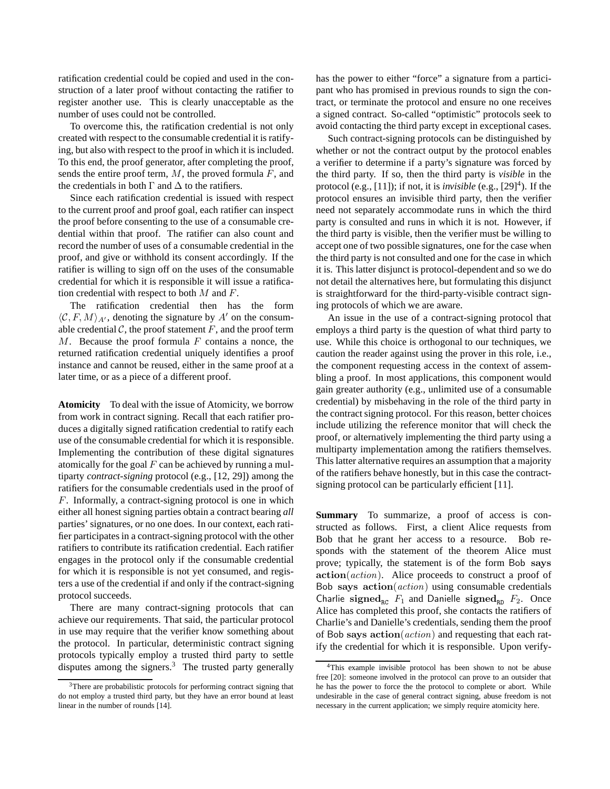ratification credential could be copied and used in the construction of a later proof without contacting the ratifier to register another use. This is clearly unacceptable as the number of uses could not be controlled.

To overcome this, the ratification credential is not only created with respect to the consumable credential it is ratifying, but also with respect to the proof in which it is included. To this end, the proof generator, after completing the proof, sends the entire proof term,  $M$ , the proved formula  $F$ , and the credentials in both  $\Gamma$  and  $\Delta$  to the ratifiers.

Since each ratification credential is issued with respect to the current proof and proof goal, each ratifier can inspect the proof before consenting to the use of a consumable credential within that proof. The ratifier can also count and record the number of uses of a consumable credential in the proof, and give or withhold its consent accordingly. If the ratifier is willing to sign off on the uses of the consumable credential for which it is responsible it will issue a ratification credential with respect to both  $M$  and  $F$ .

The ratification credential then has the form  $\langle \mathcal{C}, F, M \rangle_{A}$ , denoting the signature by A' on the consumable credential  $C$ , the proof statement  $F$ , and the proof term  $M$ . Because the proof formula  $F$  contains a nonce, the returned ratification credential uniquely identifies a proof instance and cannot be reused, either in the same proof at a later time, or as a piece of a different proof.

**Atomicity** To deal with the issue of Atomicity, we borrow from work in contract signing. Recall that each ratifier produces a digitally signed ratification credential to ratify each use of the consumable credential for which it is responsible. Implementing the contribution of these digital signatures atomically for the goal  $F$  can be achieved by running a multiparty *contract-signing* protocol (e.g., [12, 29]) among the ratifiers for the consumable credentials used in the proof of F. Informally, a contract-signing protocol is one in which either all honest signing parties obtain a contract bearing *all* parties' signatures, or no one does. In our context, each ratifier participates in a contract-signing protocol with the other ratifiers to contribute its ratification credential. Each ratifier engages in the protocol only if the consumable credential for which it is responsible is not yet consumed, and registers a use of the credential if and only if the contract-signing protocol succeeds.

There are many contract-signing protocols that can achieve our requirements. That said, the particular protocol in use may require that the verifier know something about the protocol. In particular, deterministic contract signing protocols typically employ a trusted third party to settle disputes among the signers. $3$  The trusted party generally has the power to either "force" a signature from a participant who has promised in previous rounds to sign the contract, or terminate the protocol and ensure no one receives a signed contract. So-called "optimistic" protocols seek to avoid contacting the third party except in exceptional cases.

Such contract-signing protocols can be distinguished by whether or not the contract output by the protocol enables a verifier to determine if a party's signature was forced by the third party. If so, then the third party is *visible* in the protocol (e.g., [11]); if not, it is *invisible* (e.g.,  $[29]^4$ ). If the protocol ensures an invisible third party, then the verifier need not separately accommodate runs in which the third party is consulted and runs in which it is not. However, if the third party is visible, then the verifier must be willing to accept one of two possible signatures, one for the case when the third party is not consulted and one for the case in which it is. This latter disjunct is protocol-dependent and so we do not detail the alternatives here, but formulating this disjunct is straightforward for the third-party-visible contract signing protocols of which we are aware.

An issue in the use of a contract-signing protocol that employs a third party is the question of what third party to use. While this choice is orthogonal to our techniques, we caution the reader against using the prover in this role, i.e., the component requesting access in the context of assembling a proof. In most applications, this component would gain greater authority (e.g., unlimited use of a consumable credential) by misbehaving in the role of the third party in the contract signing protocol. For this reason, better choices include utilizing the reference monitor that will check the proof, or alternatively implementing the third party using a multiparty implementation among the ratifiers themselves. This latter alternative requires an assumption that a majority of the ratifiers behave honestly, but in this case the contractsigning protocol can be particularly efficient [11].

**Summary** To summarize, a proof of access is constructed as follows. First, a client Alice requests from Bob that he grant her access to a resource. Bob responds with the statement of the theorem Alice must prove; typically, the statement is of the form Bob says  $action(action)$ . Alice proceeds to construct a proof of Bob says  $action(action)$  using consumable credentials Charlie signed<sub>RC</sub>  $F_1$  and Danielle signed<sub>RD</sub>  $F_2$ . Once Alice has completed this proof, she contacts the ratifiers of Charlie's and Danielle's credentials, sending them the proof of Bob says  $action(action)$  and requesting that each ratify the credential for which it is responsible. Upon verify-

<sup>3</sup>There are probabilistic protocols for performing contract signing that do not employ a trusted third party, but they have an error bound at least linear in the number of rounds [14].

<sup>4</sup>This example invisible protocol has been shown to not be abuse free [20]: someone involved in the protocol can prove to an outsider that he has the power to force the the protocol to complete or abort. While undesirable in the case of general contract signing, abuse freedom is not necessary in the current application; we simply require atomicity here.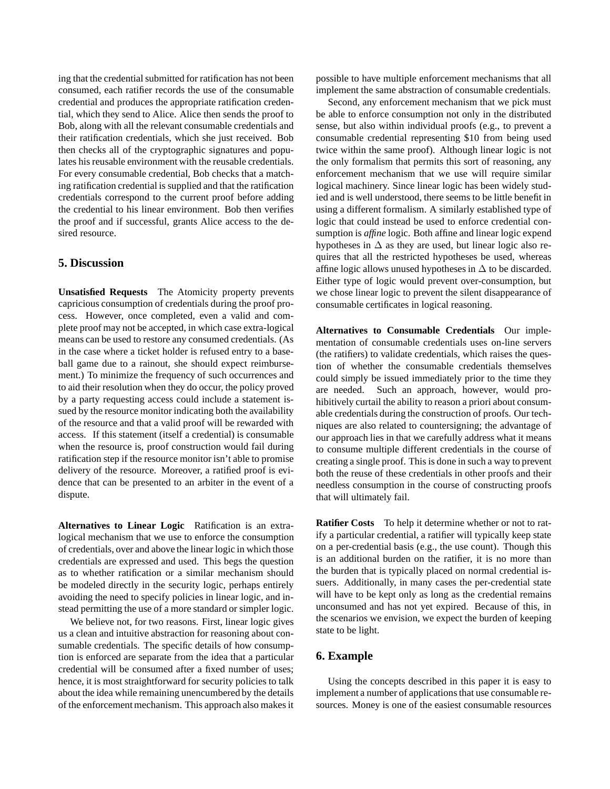ing that the credential submitted for ratification has not been consumed, each ratifier records the use of the consumable credential and produces the appropriate ratification credential, which they send to Alice. Alice then sends the proof to Bob, along with all the relevant consumable credentials and their ratification credentials, which she just received. Bob then checks all of the cryptographic signatures and populates his reusable environment with the reusable credentials. For every consumable credential, Bob checks that a matching ratification credential is supplied and that the ratification credentials correspond to the current proof before adding the credential to his linear environment. Bob then verifies the proof and if successful, grants Alice access to the desired resource.

# **5. Discussion**

**Unsatisfied Requests** The Atomicity property prevents capricious consumption of credentials during the proof process. However, once completed, even a valid and complete proof may not be accepted, in which case extra-logical means can be used to restore any consumed credentials. (As in the case where a ticket holder is refused entry to a baseball game due to a rainout, she should expect reimbursement.) To minimize the frequency of such occurrences and to aid their resolution when they do occur, the policy proved by a party requesting access could include a statement issued by the resource monitor indicating both the availability of the resource and that a valid proof will be rewarded with access. If this statement (itself a credential) is consumable when the resource is, proof construction would fail during ratification step if the resource monitor isn't able to promise delivery of the resource. Moreover, a ratified proof is evidence that can be presented to an arbiter in the event of a dispute.

**Alternatives to Linear Logic** Ratification is an extralogical mechanism that we use to enforce the consumption of credentials, over and above the linear logic in which those credentials are expressed and used. This begs the question as to whether ratification or a similar mechanism should be modeled directly in the security logic, perhaps entirely avoiding the need to specify policies in linear logic, and instead permitting the use of a more standard or simpler logic.

We believe not, for two reasons. First, linear logic gives us a clean and intuitive abstraction for reasoning about consumable credentials. The specific details of how consumption is enforced are separate from the idea that a particular credential will be consumed after a fixed number of uses; hence, it is most straightforward for security policies to talk about the idea while remaining unencumbered by the details of the enforcement mechanism. This approach also makes it possible to have multiple enforcement mechanisms that all implement the same abstraction of consumable credentials.

Second, any enforcement mechanism that we pick must be able to enforce consumption not only in the distributed sense, but also within individual proofs (e.g., to prevent a consumable credential representing \$10 from being used twice within the same proof). Although linear logic is not the only formalism that permits this sort of reasoning, any enforcement mechanism that we use will require similar logical machinery. Since linear logic has been widely studied and is well understood, there seems to be little benefit in using a different formalism. A similarly established type of logic that could instead be used to enforce credential consumption is *affine* logic. Both affine and linear logic expend hypotheses in  $\Delta$  as they are used, but linear logic also requires that all the restricted hypotheses be used, whereas affine logic allows unused hypotheses in  $\Delta$  to be discarded. Either type of logic would prevent over-consumption, but we chose linear logic to prevent the silent disappearance of consumable certificates in logical reasoning.

**Alternatives to Consumable Credentials** Our implementation of consumable credentials uses on-line servers (the ratifiers) to validate credentials, which raises the question of whether the consumable credentials themselves could simply be issued immediately prior to the time they are needed. Such an approach, however, would prohibitively curtail the ability to reason a priori about consumable credentials during the construction of proofs. Our techniques are also related to countersigning; the advantage of our approach lies in that we carefully address what it means to consume multiple different credentials in the course of creating a single proof. This is done in such a way to prevent both the reuse of these credentials in other proofs and their needless consumption in the course of constructing proofs that will ultimately fail.

**Ratifier Costs** To help it determine whether or not to ratify a particular credential, a ratifier will typically keep state on a per-credential basis (e.g., the use count). Though this is an additional burden on the ratifier, it is no more than the burden that is typically placed on normal credential issuers. Additionally, in many cases the per-credential state will have to be kept only as long as the credential remains unconsumed and has not yet expired. Because of this, in the scenarios we envision, we expect the burden of keeping state to be light.

### **6. Example**

Using the concepts described in this paper it is easy to implement a number of applications that use consumable resources. Money is one of the easiest consumable resources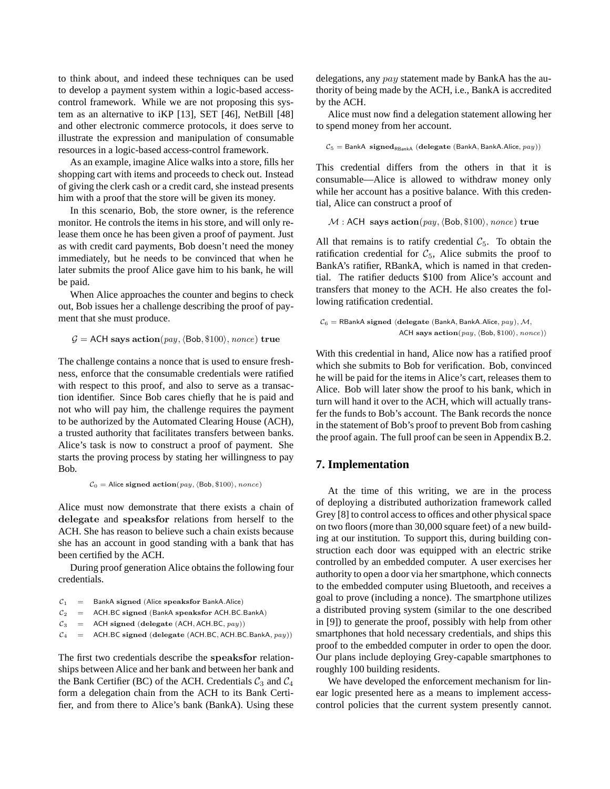to think about, and indeed these techniques can be used to develop a payment system within a logic-based accesscontrol framework. While we are not proposing this system as an alternative to iKP [13], SET [46], NetBill [48] and other electronic commerce protocols, it does serve to illustrate the expression and manipulation of consumable resources in a logic-based access-control framework.

As an example, imagine Alice walks into a store, fills her shopping cart with items and proceeds to check out. Instead of giving the clerk cash or a credit card, she instead presents him with a proof that the store will be given its money.

In this scenario, Bob, the store owner, is the reference monitor. He controls the items in his store, and will only release them once he has been given a proof of payment. Just as with credit card payments, Bob doesn't need the money immediately, but he needs to be convinced that when he later submits the proof Alice gave him to his bank, he will be paid.

When Alice approaches the counter and begins to check out, Bob issues her a challenge describing the proof of payment that she must produce.

```
G = ACH says action(pay, \langle Bob, \$100 \rangle, nonce) true
```
The challenge contains a nonce that is used to ensure freshness, enforce that the consumable credentials were ratified with respect to this proof, and also to serve as a transaction identifier. Since Bob cares chiefly that he is paid and not who will pay him, the challenge requires the payment to be authorized by the Automated Clearing House (ACH), a trusted authority that facilitates transfers between banks. Alice's task is now to construct a proof of payment. She starts the proving process by stating her willingness to pay Bob.

 $C_0$  = Alice signed action(pay,  $\langle$ Bob, \$100 $\rangle$ , nonce)

Alice must now demonstrate that there exists a chain of delegate and speaksfor relations from herself to the ACH. She has reason to believe such a chain exists because she has an account in good standing with a bank that has been certified by the ACH.

During proof generation Alice obtains the following four credentials.

| $\mathcal{C}_1$ |  |  |  | BankA signed (Alice speaksfor BankA.Alice) |  |
|-----------------|--|--|--|--------------------------------------------|--|
|-----------------|--|--|--|--------------------------------------------|--|

```
C_2 = ACH.BC signed (BankA speaksfor ACH.BC.BankA)
```
- $C_3$  = ACH signed (delegate (ACH, ACH.BC,  $pay$ ))
- $C_4$  = ACH.BC signed (delegate (ACH.BC, ACH.BC.BankA,  $pay$ ))

The first two credentials describe the speaksfor relationships between Alice and her bank and between her bank and the Bank Certifier (BC) of the ACH. Credentials  $C_3$  and  $C_4$ form a delegation chain from the ACH to its Bank Certifier, and from there to Alice's bank (BankA). Using these delegations, any pay statement made by BankA has the authority of being made by the ACH, i.e., BankA is accredited by the ACH.

Alice must now find a delegation statement allowing her to spend money from her account.

 $C_5 =$  BankA signed<sub>RBankA</sub> (delegate (BankA, BankA.Alice,  $pay$ ))

This credential differs from the others in that it is consumable—Alice is allowed to withdraw money only while her account has a positive balance. With this credential, Alice can construct a proof of

 $M$ : ACH says action(pay,  $\langle$ Bob, \$100 $\rangle$ , nonce) true

All that remains is to ratify credential  $C_5$ . To obtain the ratification credential for  $C_5$ , Alice submits the proof to BankA's ratifier, RBankA, which is named in that credential. The ratifier deducts \$100 from Alice's account and transfers that money to the ACH. He also creates the following ratification credential.

```
C_6 = RBankA signed (delegate (BankA, BankA.Alice, pay), M,
                ACH says \text{action}(pay, \langle Bob, \$100 \rangle, \textit{nonce})
```
With this credential in hand, Alice now has a ratified proof which she submits to Bob for verification. Bob, convinced he will be paid for the items in Alice's cart, releases them to Alice. Bob will later show the proof to his bank, which in turn will hand it over to the ACH, which will actually transfer the funds to Bob's account. The Bank records the nonce in the statement of Bob's proof to prevent Bob from cashing the proof again. The full proof can be seen in Appendix B.2.

#### **7. Implementation**

At the time of this writing, we are in the process of deploying a distributed authorization framework called Grey [8] to control access to offices and other physical space on two floors (more than 30,000 square feet) of a new building at our institution. To support this, during building construction each door was equipped with an electric strike controlled by an embedded computer. A user exercises her authority to open a door via her smartphone, which connects to the embedded computer using Bluetooth, and receives a goal to prove (including a nonce). The smartphone utilizes a distributed proving system (similar to the one described in [9]) to generate the proof, possibly with help from other smartphones that hold necessary credentials, and ships this proof to the embedded computer in order to open the door. Our plans include deploying Grey-capable smartphones to roughly 100 building residents.

We have developed the enforcement mechanism for linear logic presented here as a means to implement accesscontrol policies that the current system presently cannot.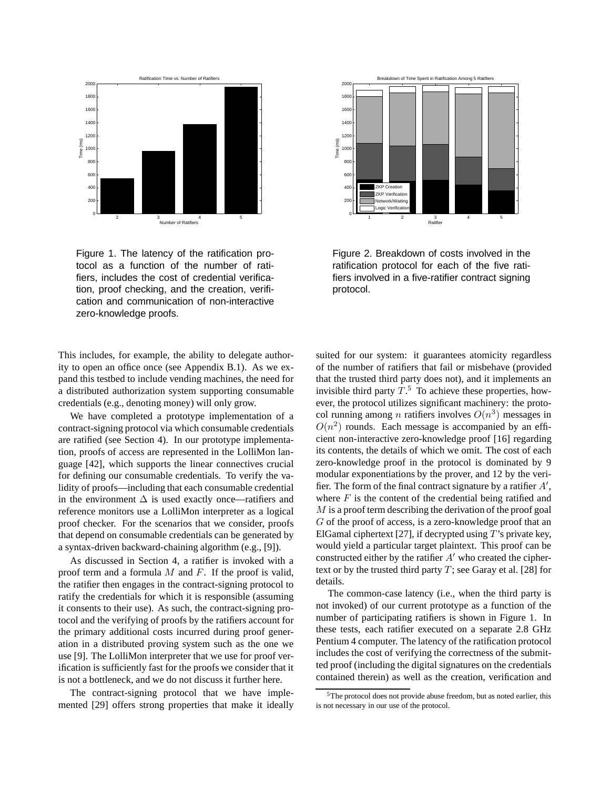

Figure 1. The latency of the ratification protocol as a function of the number of ratifiers, includes the cost of credential verification, proof checking, and the creation, verification and communication of non-interactive zero-knowledge proofs.

This includes, for example, the ability to delegate authority to open an office once (see Appendix B.1). As we expand this testbed to include vending machines, the need for a distributed authorization system supporting consumable credentials (e.g., denoting money) will only grow.

We have completed a prototype implementation of a contract-signing protocol via which consumable credentials are ratified (see Section 4). In our prototype implementation, proofs of access are represented in the LolliMon language [42], which supports the linear connectives crucial for defining our consumable credentials. To verify the validity of proofs—including that each consumable credential in the environment  $\Delta$  is used exactly once—ratifiers and reference monitors use a LolliMon interpreter as a logical proof checker. For the scenarios that we consider, proofs that depend on consumable credentials can be generated by a syntax-driven backward-chaining algorithm (e.g., [9]).

As discussed in Section 4, a ratifier is invoked with a proof term and a formula  $M$  and  $F$ . If the proof is valid, the ratifier then engages in the contract-signing protocol to ratify the credentials for which it is responsible (assuming it consents to their use). As such, the contract-signing protocol and the verifying of proofs by the ratifiers account for the primary additional costs incurred during proof generation in a distributed proving system such as the one we use [9]. The LolliMon interpreter that we use for proof verification is sufficiently fast for the proofs we consider that it is not a bottleneck, and we do not discuss it further here.

The contract-signing protocol that we have implemented [29] offers strong properties that make it ideally



Figure 2. Breakdown of costs involved in the ratification protocol for each of the five ratifiers involved in a five-ratifier contract signing protocol.

suited for our system: it guarantees atomicity regardless of the number of ratifiers that fail or misbehave (provided that the trusted third party does not), and it implements an invisible third party  $T^5$ . To achieve these properties, however, the protocol utilizes significant machinery: the protocol running among *n* ratifiers involves  $O(n^3)$  messages in  $O(n^2)$  rounds. Each message is accompanied by an efficient non-interactive zero-knowledge proof [16] regarding its contents, the details of which we omit. The cost of each zero-knowledge proof in the protocol is dominated by 9 modular exponentiations by the prover, and 12 by the verifier. The form of the final contract signature by a ratifier  $A'$ , where  $F$  is the content of the credential being ratified and M is a proof term describing the derivation of the proof goal G of the proof of access, is a zero-knowledge proof that an ElGamal ciphertext [27], if decrypted using  $T$ 's private key, would yield a particular target plaintext. This proof can be constructed either by the ratifier  $A'$  who created the ciphertext or by the trusted third party  $T$ ; see Garay et al. [28] for details.

The common-case latency (i.e., when the third party is not invoked) of our current prototype as a function of the number of participating ratifiers is shown in Figure 1. In these tests, each ratifier executed on a separate 2.8 GHz Pentium 4 computer. The latency of the ratification protocol includes the cost of verifying the correctness of the submitted proof (including the digital signatures on the credentials contained therein) as well as the creation, verification and

<sup>5</sup>The protocol does not provide abuse freedom, but as noted earlier, this is not necessary in our use of the protocol.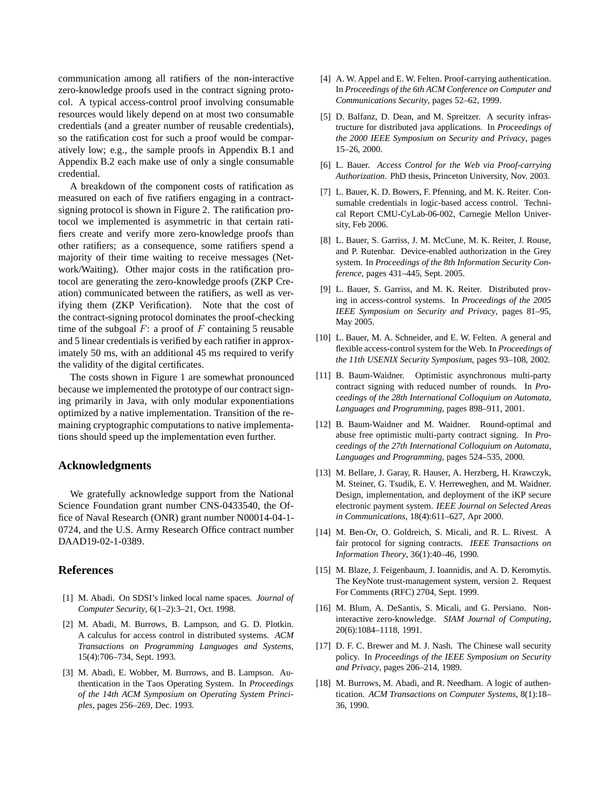communication among all ratifiers of the non-interactive zero-knowledge proofs used in the contract signing protocol. A typical access-control proof involving consumable resources would likely depend on at most two consumable credentials (and a greater number of reusable credentials), so the ratification cost for such a proof would be comparatively low; e.g., the sample proofs in Appendix B.1 and Appendix B.2 each make use of only a single consumable credential.

A breakdown of the component costs of ratification as measured on each of five ratifiers engaging in a contractsigning protocol is shown in Figure 2. The ratification protocol we implemented is asymmetric in that certain ratifiers create and verify more zero-knowledge proofs than other ratifiers; as a consequence, some ratifiers spend a majority of their time waiting to receive messages (Network/Waiting). Other major costs in the ratification protocol are generating the zero-knowledge proofs (ZKP Creation) communicated between the ratifiers, as well as verifying them (ZKP Verification). Note that the cost of the contract-signing protocol dominates the proof-checking time of the subgoal  $F:$  a proof of  $F$  containing 5 reusable and 5 linear credentials is verified by each ratifier in approximately 50 ms, with an additional 45 ms required to verify the validity of the digital certificates.

The costs shown in Figure 1 are somewhat pronounced because we implemented the prototype of our contract signing primarily in Java, with only modular exponentiations optimized by a native implementation. Transition of the remaining cryptographic computations to native implementations should speed up the implementation even further.

### **Acknowledgments**

We gratefully acknowledge support from the National Science Foundation grant number CNS-0433540, the Office of Naval Research (ONR) grant number N00014-04-1- 0724, and the U.S. Army Research Office contract number DAAD19-02-1-0389.

#### **References**

- [1] M. Abadi. On SDSI's linked local name spaces. *Journal of Computer Security*, 6(1–2):3–21, Oct. 1998.
- [2] M. Abadi, M. Burrows, B. Lampson, and G. D. Plotkin. A calculus for access control in distributed systems. *ACM Transactions on Programming Languages and Systems*, 15(4):706–734, Sept. 1993.
- [3] M. Abadi, E. Wobber, M. Burrows, and B. Lampson. Authentication in the Taos Operating System. In *Proceedings of the 14th ACM Symposium on Operating System Principles*, pages 256–269, Dec. 1993.
- [4] A. W. Appel and E. W. Felten. Proof-carrying authentication. In *Proceedings of the 6th ACM Conference on Computer and Communications Security*, pages 52–62, 1999.
- [5] D. Balfanz, D. Dean, and M. Spreitzer. A security infrastructure for distributed java applications. In *Proceedings of the 2000 IEEE Symposium on Security and Privacy*, pages 15–26, 2000.
- [6] L. Bauer. *Access Control for the Web via Proof-carrying Authorization*. PhD thesis, Princeton University, Nov. 2003.
- [7] L. Bauer, K. D. Bowers, F. Pfenning, and M. K. Reiter. Consumable credentials in logic-based access control. Technical Report CMU-CyLab-06-002, Carnegie Mellon University, Feb 2006.
- [8] L. Bauer, S. Garriss, J. M. McCune, M. K. Reiter, J. Rouse, and P. Rutenbar. Device-enabled authorization in the Grey system. In *Proceedings of the 8th Information Security Conference*, pages 431–445, Sept. 2005.
- [9] L. Bauer, S. Garriss, and M. K. Reiter. Distributed proving in access-control systems. In *Proceedings of the 2005 IEEE Symposium on Security and Privacy*, pages 81–95, May 2005.
- [10] L. Bauer, M. A. Schneider, and E. W. Felten. A general and flexible access-control system for the Web. In *Proceedings of the 11th USENIX Security Symposium*, pages 93–108, 2002.
- [11] B. Baum-Waidner. Optimistic asynchronous multi-party contract signing with reduced number of rounds. In *Proceedings of the 28th International Colloquium on Automata, Languages and Programming*, pages 898–911, 2001.
- [12] B. Baum-Waidner and M. Waidner. Round-optimal and abuse free optimistic multi-party contract signing. In *Proceedings of the 27th International Colloquium on Automata, Languages and Programming*, pages 524–535, 2000.
- [13] M. Bellare, J. Garay, R. Hauser, A. Herzberg, H. Krawczyk, M. Steiner, G. Tsudik, E. V. Herreweghen, and M. Waidner. Design, implementation, and deployment of the iKP secure electronic payment system. *IEEE Journal on Selected Areas in Communications*, 18(4):611–627, Apr 2000.
- [14] M. Ben-Or, O. Goldreich, S. Micali, and R. L. Rivest. A fair protocol for signing contracts. *IEEE Transactions on Information Theory*, 36(1):40–46, 1990.
- [15] M. Blaze, J. Feigenbaum, J. Ioannidis, and A. D. Keromytis. The KeyNote trust-management system, version 2. Request For Comments (RFC) 2704, Sept. 1999.
- [16] M. Blum, A. DeSantis, S. Micali, and G. Persiano. Noninteractive zero-knowledge. *SIAM Journal of Computing*, 20(6):1084–1118, 1991.
- [17] D. F. C. Brewer and M. J. Nash. The Chinese wall security policy. In *Proceedings of the IEEE Symposium on Security and Privacy*, pages 206–214, 1989.
- [18] M. Burrows, M. Abadi, and R. Needham. A logic of authentication. *ACM Transactions on Computer Systems*, 8(1):18– 36, 1990.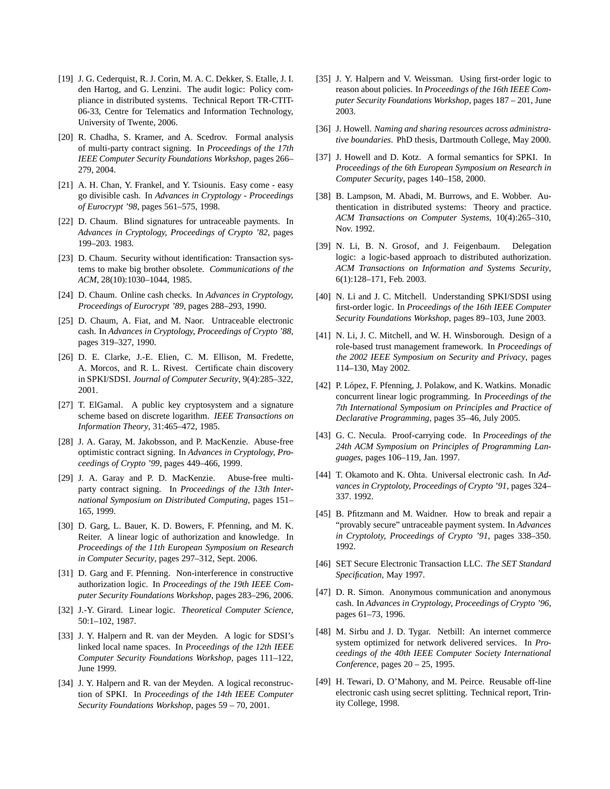- [19] J. G. Cederquist, R. J. Corin, M. A. C. Dekker, S. Etalle, J. I. den Hartog, and G. Lenzini. The audit logic: Policy compliance in distributed systems. Technical Report TR-CTIT-06-33, Centre for Telematics and Information Technology, University of Twente, 2006.
- [20] R. Chadha, S. Kramer, and A. Scedrov. Formal analysis of multi-party contract signing. In *Proceedings of the 17th IEEE Computer Security Foundations Workshop*, pages 266– 279, 2004.
- [21] A. H. Chan, Y. Frankel, and Y. Tsiounis. Easy come easy go divisible cash. In *Advances in Cryptology - Proceedings of Eurocrypt '98*, pages 561–575, 1998.
- [22] D. Chaum. Blind signatures for untraceable payments. In *Advances in Cryptology, Proceedings of Crypto '82*, pages 199–203. 1983.
- [23] D. Chaum. Security without identification: Transaction systems to make big brother obsolete. *Communications of the ACM*, 28(10):1030–1044, 1985.
- [24] D. Chaum. Online cash checks. In *Advances in Cryptology, Proceedings of Eurocrypt '89*, pages 288–293, 1990.
- [25] D. Chaum, A. Fiat, and M. Naor. Untraceable electronic cash. In *Advances in Cryptology, Proceedings of Crypto '88*, pages 319–327, 1990.
- [26] D. E. Clarke, J.-E. Elien, C. M. Ellison, M. Fredette, A. Morcos, and R. L. Rivest. Certificate chain discovery in SPKI/SDSI. *Journal of Computer Security*, 9(4):285–322, 2001.
- [27] T. ElGamal. A public key cryptosystem and a signature scheme based on discrete logarithm. *IEEE Transactions on Information Theory*, 31:465–472, 1985.
- [28] J. A. Garay, M. Jakobsson, and P. MacKenzie. Abuse-free optimistic contract signing. In *Advances in Cryptology, Proceedings of Crypto '99*, pages 449–466, 1999.
- [29] J. A. Garay and P. D. MacKenzie. Abuse-free multiparty contract signing. In *Proceedings of the 13th International Symposium on Distributed Computing*, pages 151– 165, 1999.
- [30] D. Garg, L. Bauer, K. D. Bowers, F. Pfenning, and M. K. Reiter. A linear logic of authorization and knowledge. In *Proceedings of the 11th European Symposium on Research in Computer Security*, pages 297–312, Sept. 2006.
- [31] D. Garg and F. Pfenning. Non-interference in constructive authorization logic. In *Proceedings of the 19th IEEE Computer Security Foundations Workshop*, pages 283–296, 2006.
- [32] J.-Y. Girard. Linear logic. *Theoretical Computer Science*, 50:1–102, 1987.
- [33] J. Y. Halpern and R. van der Meyden. A logic for SDSI's linked local name spaces. In *Proceedings of the 12th IEEE Computer Security Foundations Workshop*, pages 111–122, June 1999.
- [34] J. Y. Halpern and R. van der Meyden. A logical reconstruction of SPKI. In *Proceedings of the 14th IEEE Computer Security Foundations Workshop*, pages 59 – 70, 2001.
- [35] J. Y. Halpern and V. Weissman. Using first-order logic to reason about policies. In *Proceedings of the 16th IEEE Computer Security Foundations Workshop*, pages 187 – 201, June 2003.
- [36] J. Howell. *Naming and sharing resources across administrative boundaries*. PhD thesis, Dartmouth College, May 2000.
- [37] J. Howell and D. Kotz. A formal semantics for SPKI. In *Proceedings of the 6th European Symposium on Research in Computer Security*, pages 140–158, 2000.
- [38] B. Lampson, M. Abadi, M. Burrows, and E. Wobber. Authentication in distributed systems: Theory and practice. *ACM Transactions on Computer Systems*, 10(4):265–310, Nov. 1992.
- [39] N. Li, B. N. Grosof, and J. Feigenbaum. Delegation logic: a logic-based approach to distributed authorization. *ACM Transactions on Information and Systems Security*, 6(1):128–171, Feb. 2003.
- [40] N. Li and J. C. Mitchell. Understanding SPKI/SDSI using first-order logic. In *Proceedings of the 16th IEEE Computer Security Foundations Workshop*, pages 89–103, June 2003.
- [41] N. Li, J. C. Mitchell, and W. H. Winsborough. Design of a role-based trust management framework. In *Proceedings of the 2002 IEEE Symposium on Security and Privacy*, pages 114–130, May 2002.
- [42] P. López, F. Pfenning, J. Polakow, and K. Watkins. Monadic concurrent linear logic programming. In *Proceedings of the 7th International Symposium on Principles and Practice of Declarative Programming*, pages 35–46, July 2005.
- [43] G. C. Necula. Proof-carrying code. In *Proceedings of the 24th ACM Symposium on Principles of Programming Languages*, pages 106–119, Jan. 1997.
- [44] T. Okamoto and K. Ohta. Universal electronic cash. In *Advances in Cryptoloty, Proceedings of Crypto '91*, pages 324– 337. 1992.
- [45] B. Pfitzmann and M. Waidner. How to break and repair a "provably secure" untraceable payment system. In *Advances in Cryptoloty, Proceedings of Crypto '91*, pages 338–350. 1992.
- [46] SET Secure Electronic Transaction LLC. *The SET Standard Specification*, May 1997.
- [47] D. R. Simon. Anonymous communication and anonymous cash. In *Advances in Cryptology, Proceedings of Crypto '96*, pages 61–73, 1996.
- [48] M. Sirbu and J. D. Tygar. Netbill: An internet commerce system optimized for network delivered services. In *Proceedings of the 40th IEEE Computer Society International Conference*, pages 20 – 25, 1995.
- [49] H. Tewari, D. O'Mahony, and M. Peirce. Reusable off-line electronic cash using secret splitting. Technical report, Trinity College, 1998.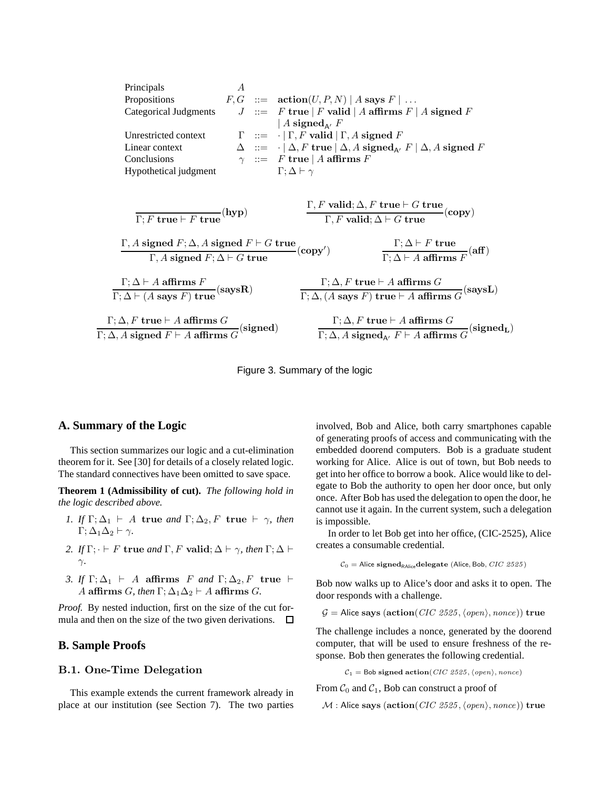| Principals                                                    | $A$                                                                                            |
|---------------------------------------------------------------|------------------------------------------------------------------------------------------------|
| Propositions                                                  | $F, G$ ::= $\arctan(U, P, N)   A$ says $F   ...$                                               |
| Categorical Judgments                                         | $J$ ::= $F$ true $ F$ valid $  A$ affirms $F   A$ signed $F$                                   |
| Unrestricted context                                          | $\Gamma$ ::= $\cdot   \Gamma, F$ valid $ \Gamma, A$ signed $F$                                 |
| Linear context                                                | $\Delta$ ::= $\cdot   \Delta, F$ true $  \Delta, A$ signed $A_{A'}$ $F   \Delta, A$ signed $F$ |
| Conclusions                                                   | $\gamma$ ::= $F$ true $  A$ affirms $F$                                                        |
| $\Gamma, \Delta \vdash \gamma$                                | $\Gamma, F$ valid; $\Delta, F$ true $\vdash G$ true                                            |
| $\Gamma, F$ true $\vdash F$ true                              |                                                                                                |
| $\Gamma, A$ signed $F$ ; $\Delta, A$ signed $F \vdash G$ true |                                                                                                |
| $\Gamma, A$ signed $F$ ; $\Delta, A$ signed $F \vdash G$ true |                                                                                                |
| $\Gamma, A$ signed $F$ ; $\Delta \vdash G$ true               |                                                                                                |
| $\Gamma, A$ signed $F$ ; $\Delta \vdash G$ true               |                                                                                                |
| $\Gamma, A$ affirms $F$                                       |                                                                                                |
| $\Gamma; \Delta \vdash A$ affirms $F$                         |                                                                                                |
| $\Gamma; \Delta \vdash A$ affirms $G$                         |                                                                                                |
| $\Gamma; \Delta \vdash (A$ says $F)$ true                     |                                                                                                |
| $\Gamma; \Delta, F$ true $\vdash A$                           |                                                                                                |

Figure 3. Summary of the logic

#### **A. Summary of the Logic**

This section summarizes our logic and a cut-elimination theorem for it. See [30] for details of a closely related logic. The standard connectives have been omitted to save space.

**Theorem 1 (Admissibility of cut).** *The following hold in the logic described above.*

- *1. If*  $\Gamma; \Delta_1 \vdash A$  true *and*  $\Gamma; \Delta_2, F$  true  $\vdash \gamma$ *, then*  $\Gamma$ ;  $\Delta_1\Delta_2 \vdash \gamma$ .
- *2. If*  $\Gamma$ ;  $\cdot \vdash F$  **true** *and*  $\Gamma$ , *F* **valid**;  $\Delta \vdash \gamma$ *, then*  $\Gamma$ ;  $\Delta \vdash$ γ*.*
- *3. If*  $\Gamma; \Delta_1 \vdash A$  affirms *F and*  $\Gamma; \Delta_2, F$  true  $\vdash$ A affirms *G*, then  $\Gamma$ ;  $\Delta_1\Delta_2 \vdash A$  affirms *G*.

*Proof.* By nested induction, first on the size of the cut formula and then on the size of the two given derivations.  $\Box$ 

### **B. Sample Proofs**

# B.1. One-Time Delegation

This example extends the current framework already in place at our institution (see Section 7). The two parties

involved, Bob and Alice, both carry smartphones capable of generating proofs of access and communicating with the embedded doorend computers. Bob is a graduate student working for Alice. Alice is out of town, but Bob needs to get into her office to borrow a book. Alice would like to delegate to Bob the authority to open her door once, but only once. After Bob has used the delegation to open the door, he cannot use it again. In the current system, such a delegation is impossible.

In order to let Bob get into her office, (CIC-2525), Alice creates a consumable credential.

$$
C_0 = \text{Alice signed}_{\text{RAlice}} \text{delegate (Alice, Bob, } CIC \text{ 2525})
$$

Bob now walks up to Alice's door and asks it to open. The door responds with a challenge.

 $G =$  Alice says (action(CIC 2525,  $\langle open \rangle$ , nonce)) true

The challenge includes a nonce, generated by the doorend computer, that will be used to ensure freshness of the response. Bob then generates the following credential.

 $C_1 =$  Bob signed action(CIC 2525,  $\langle open \rangle$ , nonce)

From  $C_0$  and  $C_1$ , Bob can construct a proof of

 $M$ : Alice says (action(CIC 2525,  $\langle open \rangle$ , nonce)) true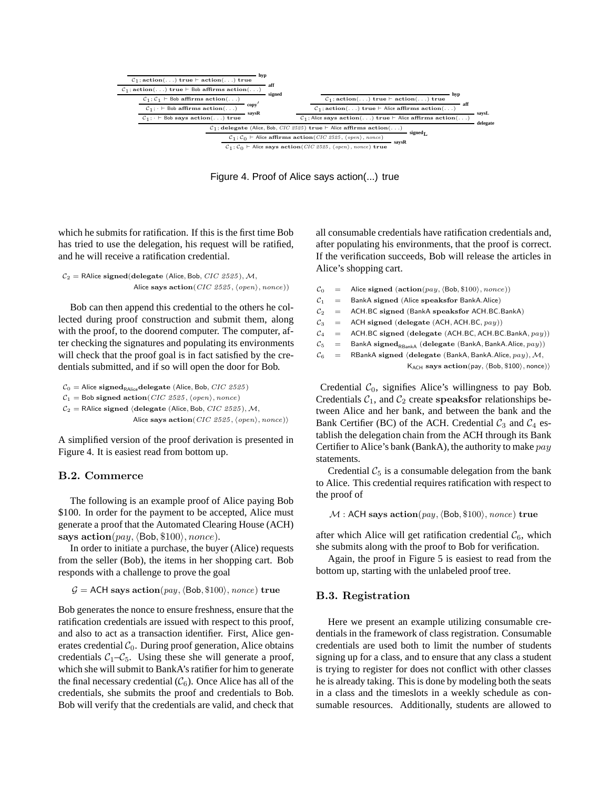

Figure 4. Proof of Alice says action(...) true

which he submits for ratification. If this is the first time Bob has tried to use the delegation, his request will be ratified, and he will receive a ratification credential.

```
C_2 = RAlice signed(delegate (Alice, Bob, CIC 2525), M,
            Alice says action(CIC 2525, \langle open \rangle, \text{nonce}))
```
Bob can then append this credential to the others he collected during proof construction and submit them, along with the proof, to the doorend computer. The computer, after checking the signatures and populating its environments will check that the proof goal is in fact satisfied by the credentials submitted, and if so will open the door for Bob.

 $\mathcal{C}_0 =$ Alice $\mathbf{signed}_\mathsf{RAlice}\mathbf{delegate}$ (Alice, Bob, $CIC$ 2525)  $C_1 =$  Bob signed action(CIC 2525,  $\langle open \rangle$ , nonce)  $C_2$  = RAlice signed (delegate (Alice, Bob, CIC 2525), M, Alice says action(CIC 2525,  $\langle open \rangle$ , nonce))

A simplified version of the proof derivation is presented in Figure 4. It is easiest read from bottom up.

### B.2. Commerce

The following is an example proof of Alice paying Bob \$100. In order for the payment to be accepted, Alice must generate a proof that the Automated Clearing House (ACH) says  $action(pay, \langle Bob, \$100 \rangle, nonce).$ 

In order to initiate a purchase, the buyer (Alice) requests from the seller (Bob), the items in her shopping cart. Bob responds with a challenge to prove the goal

```
G = ACH says action(pay, \langle Bob, \$100 \rangle, nonce) true
```
Bob generates the nonce to ensure freshness, ensure that the ratification credentials are issued with respect to this proof, and also to act as a transaction identifier. First, Alice generates credential  $C_0$ . During proof generation, Alice obtains credentials  $C_1-C_5$ . Using these she will generate a proof, which she will submit to BankA's ratifier for him to generate the final necessary credential  $(\mathcal{C}_6)$ . Once Alice has all of the credentials, she submits the proof and credentials to Bob. Bob will verify that the credentials are valid, and check that all consumable credentials have ratification credentials and, after populating his environments, that the proof is correct. If the verification succeeds, Bob will release the articles in Alice's shopping cart.

- $C_0$  = Alice signed (action(pay,  $\langle$ Bob, \$100), nonce))
- $C_1$  = BankA signed (Alice speaksfor BankA.Alice)
- $C_2$  = ACH.BC signed (BankA speaksfor ACH.BC.BankA)
- $C_3$  = ACH signed (delegate (ACH, ACH.BC,  $pay$ ))
- $C_4$  = ACH.BC signed (delegate (ACH.BC, ACH.BC.BankA,  $pay$ ))
- $C_5$  = BankA signed<sub>RBankA</sub> (delegate (BankA, BankA.Alice,  $pay$ ))
- $C_6$  = RBankA signed (delegate (BankA, BankA.Alice, pay), M,

 $K_{ACH}$  says  $action(pay, \langle Bob, $100 \rangle, none)$ 

Credential  $C_0$ , signifies Alice's willingness to pay Bob. Credentials  $C_1$ , and  $C_2$  create speaksfor relationships between Alice and her bank, and between the bank and the Bank Certifier (BC) of the ACH. Credential  $C_3$  and  $C_4$  establish the delegation chain from the ACH through its Bank Certifier to Alice's bank (BankA), the authority to make pay statements.

Credential  $C_5$  is a consumable delegation from the bank to Alice. This credential requires ratification with respect to the proof of

 $M$  : ACH says action(pay,  $\langle$ Bob, \$100 $\rangle$ , nonce) true

after which Alice will get ratification credential  $\mathcal{C}_6$ , which she submits along with the proof to Bob for verification.

Again, the proof in Figure 5 is easiest to read from the bottom up, starting with the unlabeled proof tree.

#### B.3. Registration

Here we present an example utilizing consumable credentials in the framework of class registration. Consumable credentials are used both to limit the number of students signing up for a class, and to ensure that any class a student is trying to register for does not conflict with other classes he is already taking. This is done by modeling both the seats in a class and the timeslots in a weekly schedule as consumable resources. Additionally, students are allowed to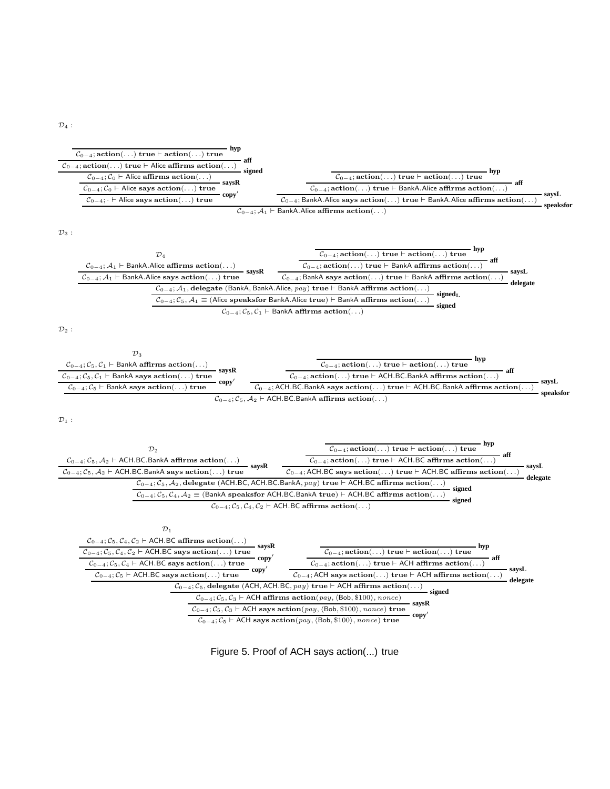$\mathcal{D}_4$  :